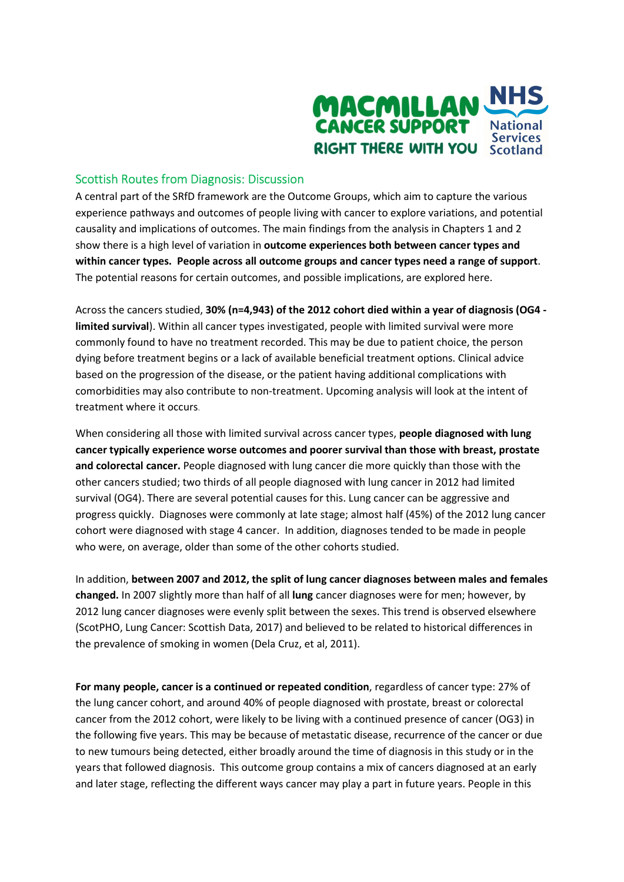

## Scottish Routes from Diagnosis: Discussion

A central part of the SRfD framework are the Outcome Groups, which aim to capture the various experience pathways and outcomes of people living with cancer to explore variations, and potential causality and implications of outcomes. The main findings from the analysis in Chapters 1 and 2 show there is a high level of variation in outcome experiences both between cancer types and within cancer types. People across all outcome groups and cancer types need a range of support. The potential reasons for certain outcomes, and possible implications, are explored here.

Across the cancers studied, 30% (n=4,943) of the 2012 cohort died within a year of diagnosis (OG4 limited survival). Within all cancer types investigated, people with limited survival were more commonly found to have no treatment recorded. This may be due to patient choice, the person dying before treatment begins or a lack of available beneficial treatment options. Clinical advice based on the progression of the disease, or the patient having additional complications with comorbidities may also contribute to non-treatment. Upcoming analysis will look at the intent of treatment where it occurs.

When considering all those with limited survival across cancer types, people diagnosed with lung cancer typically experience worse outcomes and poorer survival than those with breast, prostate and colorectal cancer. People diagnosed with lung cancer die more quickly than those with the other cancers studied; two thirds of all people diagnosed with lung cancer in 2012 had limited survival (OG4). There are several potential causes for this. Lung cancer can be aggressive and progress quickly. Diagnoses were commonly at late stage; almost half (45%) of the 2012 lung cancer cohort were diagnosed with stage 4 cancer. In addition, diagnoses tended to be made in people who were, on average, older than some of the other cohorts studied.

In addition, between 2007 and 2012, the split of lung cancer diagnoses between males and females changed. In 2007 slightly more than half of all lung cancer diagnoses were for men; however, by 2012 lung cancer diagnoses were evenly split between the sexes. This trend is observed elsewhere (ScotPHO, Lung Cancer: Scottish Data, 2017) and believed to be related to historical differences in the prevalence of smoking in women (Dela Cruz, et al, 2011).

For many people, cancer is a continued or repeated condition, regardless of cancer type: 27% of the lung cancer cohort, and around 40% of people diagnosed with prostate, breast or colorectal cancer from the 2012 cohort, were likely to be living with a continued presence of cancer (OG3) in the following five years. This may be because of metastatic disease, recurrence of the cancer or due to new tumours being detected, either broadly around the time of diagnosis in this study or in the years that followed diagnosis. This outcome group contains a mix of cancers diagnosed at an early and later stage, reflecting the different ways cancer may play a part in future years. People in this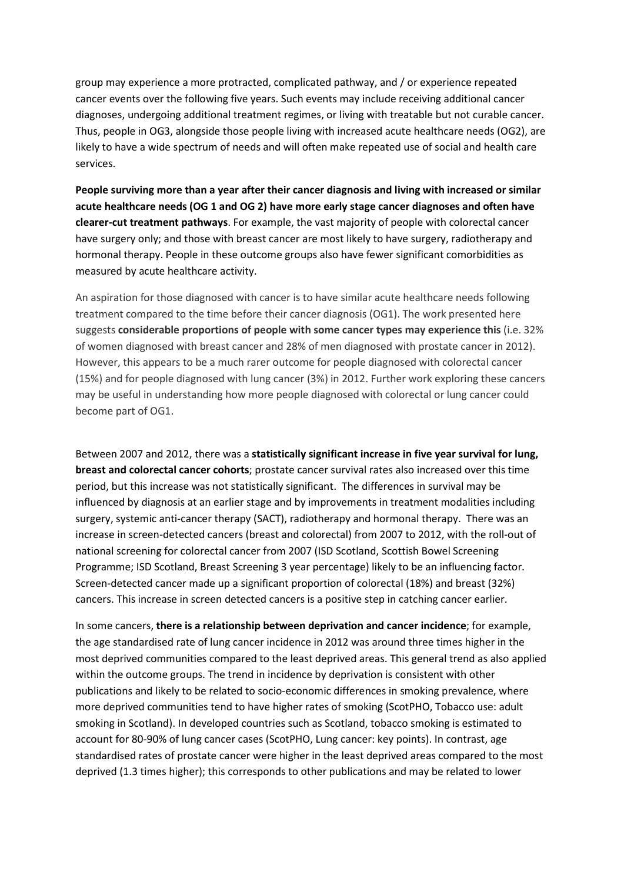group may experience a more protracted, complicated pathway, and / or experience repeated cancer events over the following five years. Such events may include receiving additional cancer diagnoses, undergoing additional treatment regimes, or living with treatable but not curable cancer. Thus, people in OG3, alongside those people living with increased acute healthcare needs (OG2), are likely to have a wide spectrum of needs and will often make repeated use of social and health care services.

People surviving more than a year after their cancer diagnosis and living with increased or similar acute healthcare needs (OG 1 and OG 2) have more early stage cancer diagnoses and often have clearer-cut treatment pathways. For example, the vast majority of people with colorectal cancer have surgery only; and those with breast cancer are most likely to have surgery, radiotherapy and hormonal therapy. People in these outcome groups also have fewer significant comorbidities as measured by acute healthcare activity.

An aspiration for those diagnosed with cancer is to have similar acute healthcare needs following treatment compared to the time before their cancer diagnosis (OG1). The work presented here suggests considerable proportions of people with some cancer types may experience this (i.e. 32% of women diagnosed with breast cancer and 28% of men diagnosed with prostate cancer in 2012). However, this appears to be a much rarer outcome for people diagnosed with colorectal cancer (15%) and for people diagnosed with lung cancer (3%) in 2012. Further work exploring these cancers may be useful in understanding how more people diagnosed with colorectal or lung cancer could become part of OG1.

Between 2007 and 2012, there was a statistically significant increase in five year survival for lung, breast and colorectal cancer cohorts; prostate cancer survival rates also increased over this time period, but this increase was not statistically significant. The differences in survival may be influenced by diagnosis at an earlier stage and by improvements in treatment modalities including surgery, systemic anti-cancer therapy (SACT), radiotherapy and hormonal therapy. There was an increase in screen-detected cancers (breast and colorectal) from 2007 to 2012, with the roll-out of national screening for colorectal cancer from 2007 (ISD Scotland, Scottish Bowel Screening Programme; ISD Scotland, Breast Screening 3 year percentage) likely to be an influencing factor. Screen-detected cancer made up a significant proportion of colorectal (18%) and breast (32%) cancers. This increase in screen detected cancers is a positive step in catching cancer earlier.

In some cancers, there is a relationship between deprivation and cancer incidence; for example, the age standardised rate of lung cancer incidence in 2012 was around three times higher in the most deprived communities compared to the least deprived areas. This general trend as also applied within the outcome groups. The trend in incidence by deprivation is consistent with other publications and likely to be related to socio-economic differences in smoking prevalence, where more deprived communities tend to have higher rates of smoking (ScotPHO, Tobacco use: adult smoking in Scotland). In developed countries such as Scotland, tobacco smoking is estimated to account for 80-90% of lung cancer cases (ScotPHO, Lung cancer: key points). In contrast, age standardised rates of prostate cancer were higher in the least deprived areas compared to the most deprived (1.3 times higher); this corresponds to other publications and may be related to lower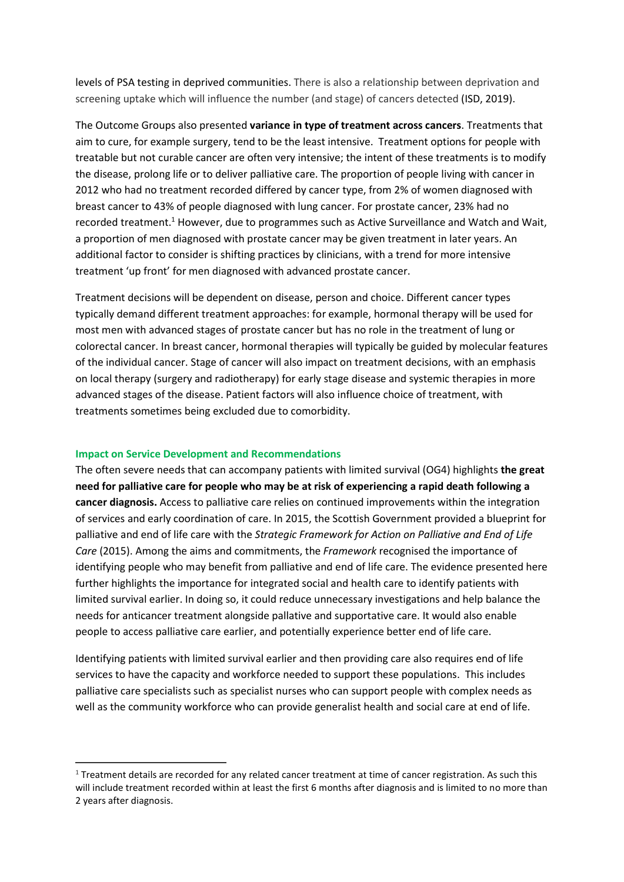levels of PSA testing in deprived communities. There is also a relationship between deprivation and screening uptake which will influence the number (and stage) of cancers detected (ISD, 2019).

The Outcome Groups also presented variance in type of treatment across cancers. Treatments that aim to cure, for example surgery, tend to be the least intensive. Treatment options for people with treatable but not curable cancer are often very intensive; the intent of these treatments is to modify the disease, prolong life or to deliver palliative care. The proportion of people living with cancer in 2012 who had no treatment recorded differed by cancer type, from 2% of women diagnosed with breast cancer to 43% of people diagnosed with lung cancer. For prostate cancer, 23% had no recorded treatment.<sup>1</sup> However, due to programmes such as Active Surveillance and Watch and Wait, a proportion of men diagnosed with prostate cancer may be given treatment in later years. An additional factor to consider is shifting practices by clinicians, with a trend for more intensive treatment 'up front' for men diagnosed with advanced prostate cancer.

Treatment decisions will be dependent on disease, person and choice. Different cancer types typically demand different treatment approaches: for example, hormonal therapy will be used for most men with advanced stages of prostate cancer but has no role in the treatment of lung or colorectal cancer. In breast cancer, hormonal therapies will typically be guided by molecular features of the individual cancer. Stage of cancer will also impact on treatment decisions, with an emphasis on local therapy (surgery and radiotherapy) for early stage disease and systemic therapies in more advanced stages of the disease. Patient factors will also influence choice of treatment, with treatments sometimes being excluded due to comorbidity.

## Impact on Service Development and Recommendations

-

The often severe needs that can accompany patients with limited survival (OG4) highlights the great need for palliative care for people who may be at risk of experiencing a rapid death following a cancer diagnosis. Access to palliative care relies on continued improvements within the integration of services and early coordination of care. In 2015, the Scottish Government provided a blueprint for palliative and end of life care with the Strategic Framework for Action on Palliative and End of Life Care (2015). Among the aims and commitments, the Framework recognised the importance of identifying people who may benefit from palliative and end of life care. The evidence presented here further highlights the importance for integrated social and health care to identify patients with limited survival earlier. In doing so, it could reduce unnecessary investigations and help balance the needs for anticancer treatment alongside pallative and supportative care. It would also enable people to access palliative care earlier, and potentially experience better end of life care.

Identifying patients with limited survival earlier and then providing care also requires end of life services to have the capacity and workforce needed to support these populations. This includes palliative care specialists such as specialist nurses who can support people with complex needs as well as the community workforce who can provide generalist health and social care at end of life.

 $1$  Treatment details are recorded for any related cancer treatment at time of cancer registration. As such this will include treatment recorded within at least the first 6 months after diagnosis and is limited to no more than 2 years after diagnosis.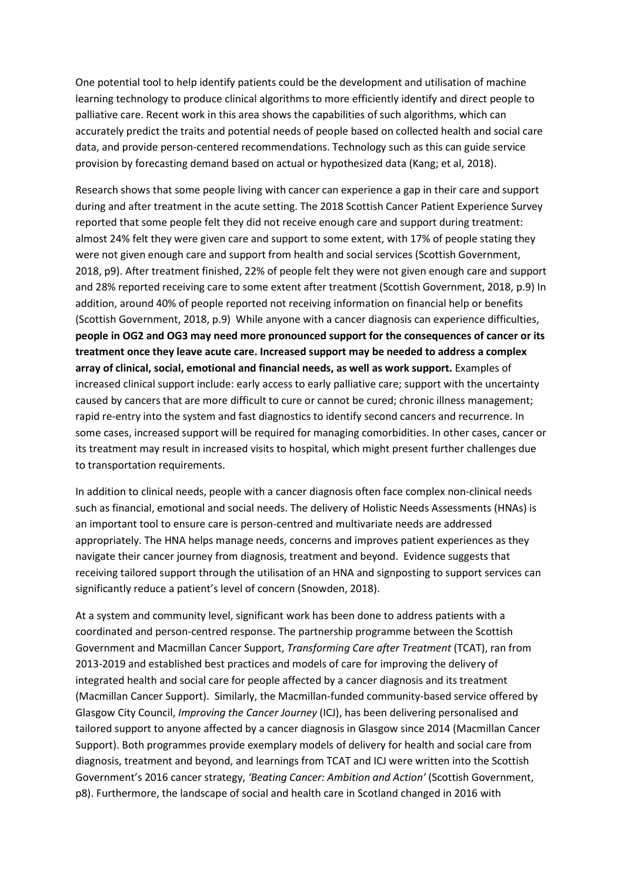One potential tool to help identify patients could be the development and utilisation of machine learning technology to produce clinical algorithms to more efficiently identify and direct people to palliative care. Recent work in this area shows the capabilities of such algorithms, which can accurately predict the traits and potential needs of people based on collected health and social care data, and provide person-centered recommendations. Technology such as this can guide service provision by forecasting demand based on actual or hypothesized data (Kang; et al, 2018).

Research shows that some people living with cancer can experience a gap in their care and support during and after treatment in the acute setting. The 2018 Scottish Cancer Patient Experience Survey reported that some people felt they did not receive enough care and support during treatment: almost 24% felt they were given care and support to some extent, with 17% of people stating they were not given enough care and support from health and social services (Scottish Government, 2018, p9). After treatment finished, 22% of people felt they were not given enough care and support and 28% reported receiving care to some extent after treatment (Scottish Government, 2018, p.9) In addition, around 40% of people reported not receiving information on financial help or benefits (Scottish Government, 2018, p.9) While anyone with a cancer diagnosis can experience difficulties, people in OG2 and OG3 may need more pronounced support for the consequences of cancer or its treatment once they leave acute care. Increased support may be needed to address a complex array of clinical, social, emotional and financial needs, as well as work support. Examples of increased clinical support include: early access to early palliative care; support with the uncertainty caused by cancers that are more difficult to cure or cannot be cured; chronic illness management; rapid re-entry into the system and fast diagnostics to identify second cancers and recurrence. In some cases, increased support will be required for managing comorbidities. In other cases, cancer or its treatment may result in increased visits to hospital, which might present further challenges due to transportation requirements.

In addition to clinical needs, people with a cancer diagnosis often face complex non-clinical needs such as financial, emotional and social needs. The delivery of Holistic Needs Assessments (HNAs) is an important tool to ensure care is person-centred and multivariate needs are addressed appropriately. The HNA helps manage needs, concerns and improves patient experiences as they navigate their cancer journey from diagnosis, treatment and beyond. Evidence suggests that receiving tailored support through the utilisation of an HNA and signposting to support services can significantly reduce a patient's level of concern (Snowden, 2018).

At a system and community level, significant work has been done to address patients with a coordinated and person-centred response. The partnership programme between the Scottish Government and Macmillan Cancer Support, Transforming Care after Treatment (TCAT), ran from 2013-2019 and established best practices and models of care for improving the delivery of integrated health and social care for people affected by a cancer diagnosis and its treatment (Macmillan Cancer Support). Similarly, the Macmillan-funded community-based service offered by Glasgow City Council, *Improving the Cancer Journey* (ICJ), has been delivering personalised and tailored support to anyone affected by a cancer diagnosis in Glasgow since 2014 (Macmillan Cancer Support). Both programmes provide exemplary models of delivery for health and social care from diagnosis, treatment and beyond, and learnings from TCAT and ICJ were written into the Scottish Government's 2016 cancer strategy, 'Beating Cancer: Ambition and Action' (Scottish Government, p8). Furthermore, the landscape of social and health care in Scotland changed in 2016 with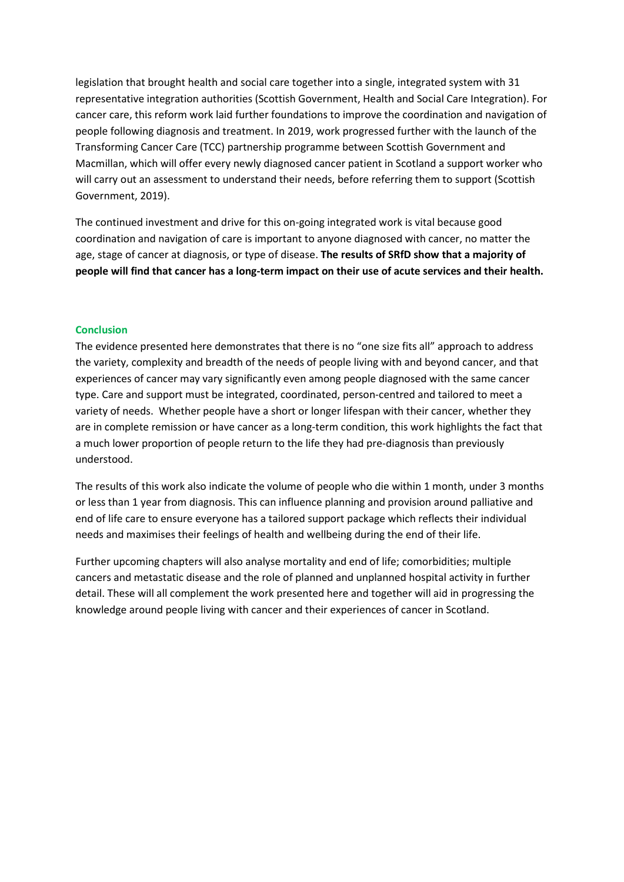legislation that brought health and social care together into a single, integrated system with 31 representative integration authorities (Scottish Government, Health and Social Care Integration). For cancer care, this reform work laid further foundations to improve the coordination and navigation of people following diagnosis and treatment. In 2019, work progressed further with the launch of the Transforming Cancer Care (TCC) partnership programme between Scottish Government and Macmillan, which will offer every newly diagnosed cancer patient in Scotland a support worker who will carry out an assessment to understand their needs, before referring them to support (Scottish Government, 2019).

The continued investment and drive for this on-going integrated work is vital because good coordination and navigation of care is important to anyone diagnosed with cancer, no matter the age, stage of cancer at diagnosis, or type of disease. The results of SRfD show that a majority of people will find that cancer has a long-term impact on their use of acute services and their health.

## **Conclusion**

The evidence presented here demonstrates that there is no "one size fits all" approach to address the variety, complexity and breadth of the needs of people living with and beyond cancer, and that experiences of cancer may vary significantly even among people diagnosed with the same cancer type. Care and support must be integrated, coordinated, person-centred and tailored to meet a variety of needs. Whether people have a short or longer lifespan with their cancer, whether they are in complete remission or have cancer as a long-term condition, this work highlights the fact that a much lower proportion of people return to the life they had pre-diagnosis than previously understood.

The results of this work also indicate the volume of people who die within 1 month, under 3 months or less than 1 year from diagnosis. This can influence planning and provision around palliative and end of life care to ensure everyone has a tailored support package which reflects their individual needs and maximises their feelings of health and wellbeing during the end of their life.

Further upcoming chapters will also analyse mortality and end of life; comorbidities; multiple cancers and metastatic disease and the role of planned and unplanned hospital activity in further detail. These will all complement the work presented here and together will aid in progressing the knowledge around people living with cancer and their experiences of cancer in Scotland.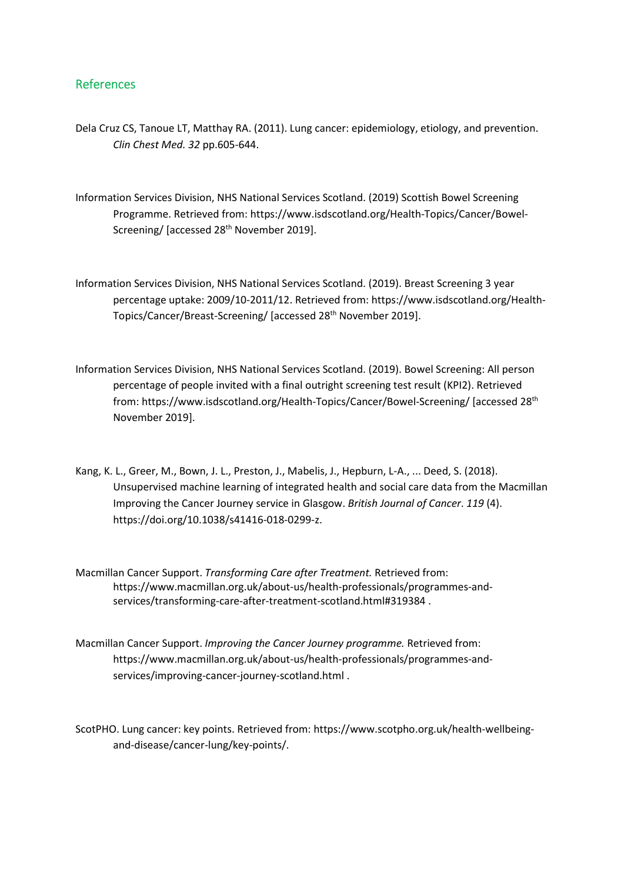## References

- Dela Cruz CS, Tanoue LT, Matthay RA. (2011). Lung cancer: epidemiology, etiology, and prevention. Clin Chest Med. 32 pp.605-644.
- Information Services Division, NHS National Services Scotland. (2019) Scottish Bowel Screening Programme. Retrieved from: https://www.isdscotland.org/Health-Topics/Cancer/Bowel- Screening/ [accessed 28<sup>th</sup> November 2019].
- Information Services Division, NHS National Services Scotland. (2019). Breast Screening 3 year percentage uptake: 2009/10-2011/12. Retrieved from: https://www.isdscotland.org/Health- Topics/Cancer/Breast-Screening/ [accessed 28th November 2019].
- Information Services Division, NHS National Services Scotland. (2019). Bowel Screening: All person percentage of people invited with a final outright screening test result (KPI2). Retrieved from: https://www.isdscotland.org/Health-Topics/Cancer/Bowel-Screening/ [accessed 28th November 2019].
- Kang, K. L., Greer, M., Bown, J. L., Preston, J., Mabelis, J., Hepburn, L-A., ... Deed, S. (2018). Unsupervised machine learning of integrated health and social care data from the Macmillan Improving the Cancer Journey service in Glasgow. British Journal of Cancer. 119 (4). https://doi.org/10.1038/s41416-018-0299-z.
- Macmillan Cancer Support. Transforming Care after Treatment. Retrieved from: https://www.macmillan.org.uk/about-us/health-professionals/programmes-and services/transforming-care-after-treatment-scotland.html#319384 .
- Macmillan Cancer Support. Improving the Cancer Journey programme. Retrieved from: https://www.macmillan.org.uk/about-us/health-professionals/programmes-and services/improving-cancer-journey-scotland.html .

ScotPHO. Lung cancer: key points. Retrieved from: https://www.scotpho.org.uk/health-wellbeing and-disease/cancer-lung/key-points/.